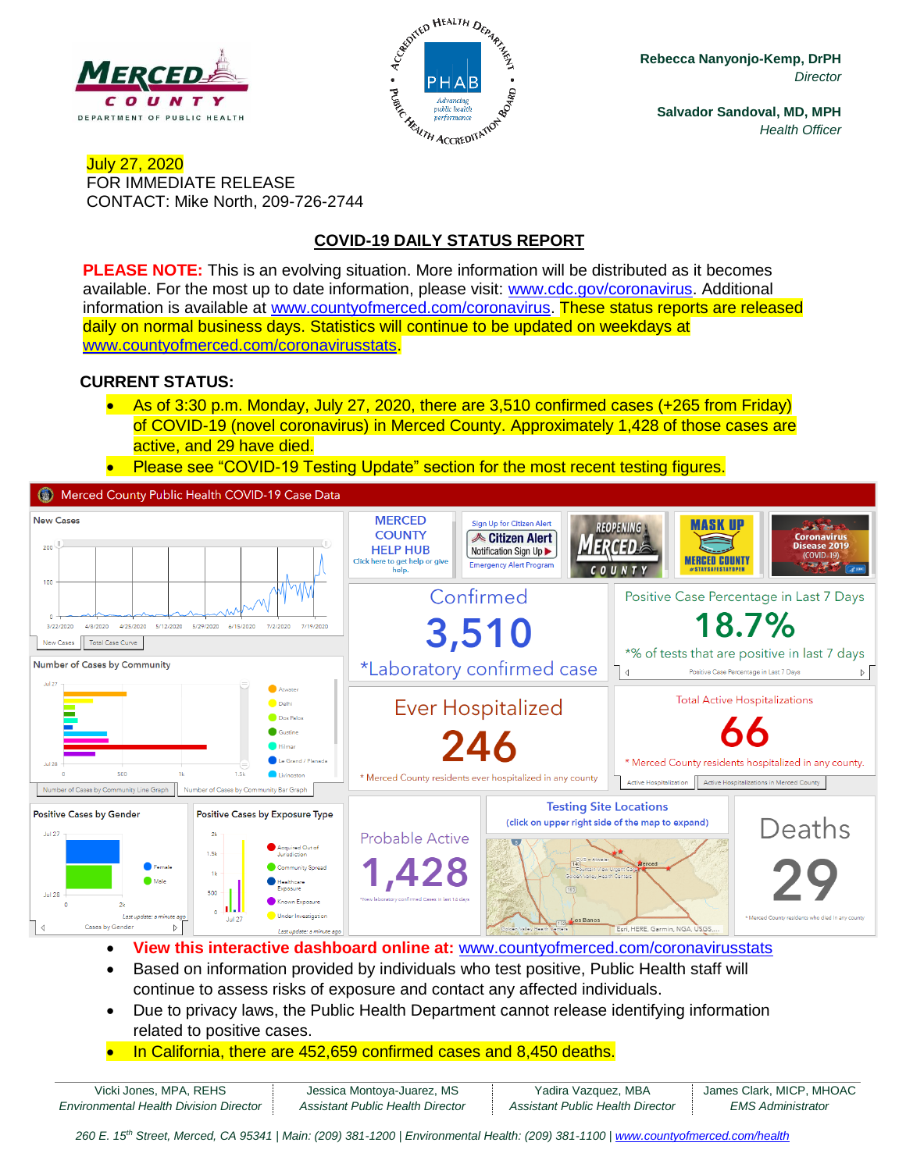



**Rebecca Nanyonjo-Kemp, DrPH** *Director*

**Salvador Sandoval, MD, MPH** *Health Officer*

#### July 27, 2020 FOR IMMEDIATE RELEASE CONTACT: Mike North, 209-726-2744

## **COVID-19 DAILY STATUS REPORT**

**PLEASE NOTE:** This is an evolving situation. More information will be distributed as it becomes available. For the most up to date information, please visit: [www.cdc.gov/coronavirus.](http://www.cdc.gov/coronavirus) Additional information is available at [www.countyofmerced.com/coronavirus.](http://www.countyofmerced.com/coronavirus) These status reports are released daily on normal business days. Statistics will continue to be updated on weekdays at [www.countyofmerced.com/coronavirusstats.](http://www.countyofmerced.com/coronavirusstats)

#### **CURRENT STATUS:**

- As of 3:30 p.m. Monday, July 27, 2020, there are 3,510 confirmed cases (+265 from Friday) of COVID-19 (novel coronavirus) in Merced County. Approximately 1,428 of those cases are active, and 29 have died.
- Please see "COVID-19 Testing Update" section for the most recent testing figures.

Merced County Public Health COVID-19 Case Data



- **View this interactive dashboard online at:** [www.countyofmerced.com/coronavirusstats](http://www.countyofmerced.com/coronavirusstats)
- Based on information provided by individuals who test positive, Public Health staff will continue to assess risks of exposure and contact any affected individuals.
- Due to privacy laws, the Public Health Department cannot release identifying information related to positive cases.
- In California, there are 452,659 confirmed cases and 8,450 deaths.

| Vicki Jones, MPA, REHS                        | Jessica Montoya-Juarez, MS       | Yadira Vazquez, MBA              | James Clark, MICP, MHOAC |
|-----------------------------------------------|----------------------------------|----------------------------------|--------------------------|
| <b>Environmental Health Division Director</b> | Assistant Public Health Director | Assistant Public Health Director | EMS Administrator        |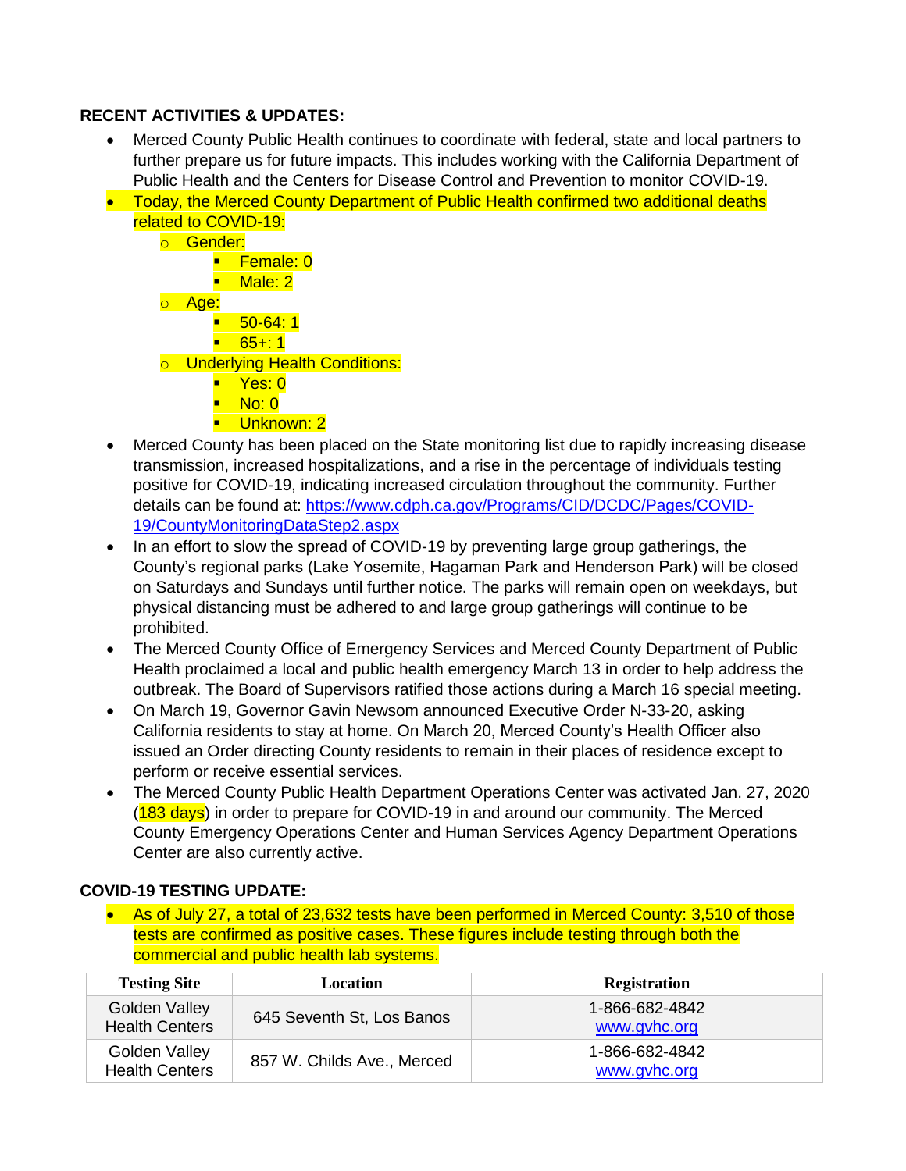### **RECENT ACTIVITIES & UPDATES:**

- Merced County Public Health continues to coordinate with federal, state and local partners to further prepare us for future impacts. This includes working with the California Department of Public Health and the Centers for Disease Control and Prevention to monitor COVID-19.
- Today, the Merced County Department of Public Health confirmed two additional deaths related to COVID-19:
	- o Gender: ■ Female: 0 ■ Male: 2 o Age:  $-50-64:1$  $-65 + 1$ o Underlying Health Conditions: ■ Yes: 0  $\blacksquare$  No: 0
		- **·** Unknown: 2
		-
- Merced County has been placed on the State monitoring list due to rapidly increasing disease transmission, increased hospitalizations, and a rise in the percentage of individuals testing positive for COVID-19, indicating increased circulation throughout the community. Further details can be found at: [https://www.cdph.ca.gov/Programs/CID/DCDC/Pages/COVID-](https://www.cdph.ca.gov/Programs/CID/DCDC/Pages/COVID-19/CountyMonitoringDataStep2.aspx)[19/CountyMonitoringDataStep2.aspx](https://www.cdph.ca.gov/Programs/CID/DCDC/Pages/COVID-19/CountyMonitoringDataStep2.aspx)
- In an effort to slow the spread of COVID-19 by preventing large group gatherings, the County's regional parks (Lake Yosemite, Hagaman Park and Henderson Park) will be closed on Saturdays and Sundays until further notice. The parks will remain open on weekdays, but physical distancing must be adhered to and large group gatherings will continue to be prohibited.
- The Merced County Office of Emergency Services and Merced County Department of Public Health proclaimed a local and public health emergency March 13 in order to help address the outbreak. The Board of Supervisors ratified those actions during a March 16 special meeting.
- On March 19, Governor Gavin Newsom announced Executive Order N-33-20, asking California residents to stay at home. On March 20, Merced County's Health Officer also issued an Order directing County residents to remain in their places of residence except to perform or receive essential services.
- The Merced County Public Health Department Operations Center was activated Jan. 27, 2020 (183 days) in order to prepare for COVID-19 in and around our community. The Merced County Emergency Operations Center and Human Services Agency Department Operations Center are also currently active.

### **COVID-19 TESTING UPDATE:**

• As of July 27, a total of 23,632 tests have been performed in Merced County: 3,510 of those tests are confirmed as positive cases. These figures include testing through both the commercial and public health lab systems.

| <b>Testing Site</b>                    | Location                   | <b>Registration</b>            |
|----------------------------------------|----------------------------|--------------------------------|
| Golden Valley<br><b>Health Centers</b> | 645 Seventh St, Los Banos  | 1-866-682-4842<br>www.gyhc.org |
| Golden Valley<br><b>Health Centers</b> | 857 W. Childs Ave., Merced | 1-866-682-4842<br>www.gvhc.org |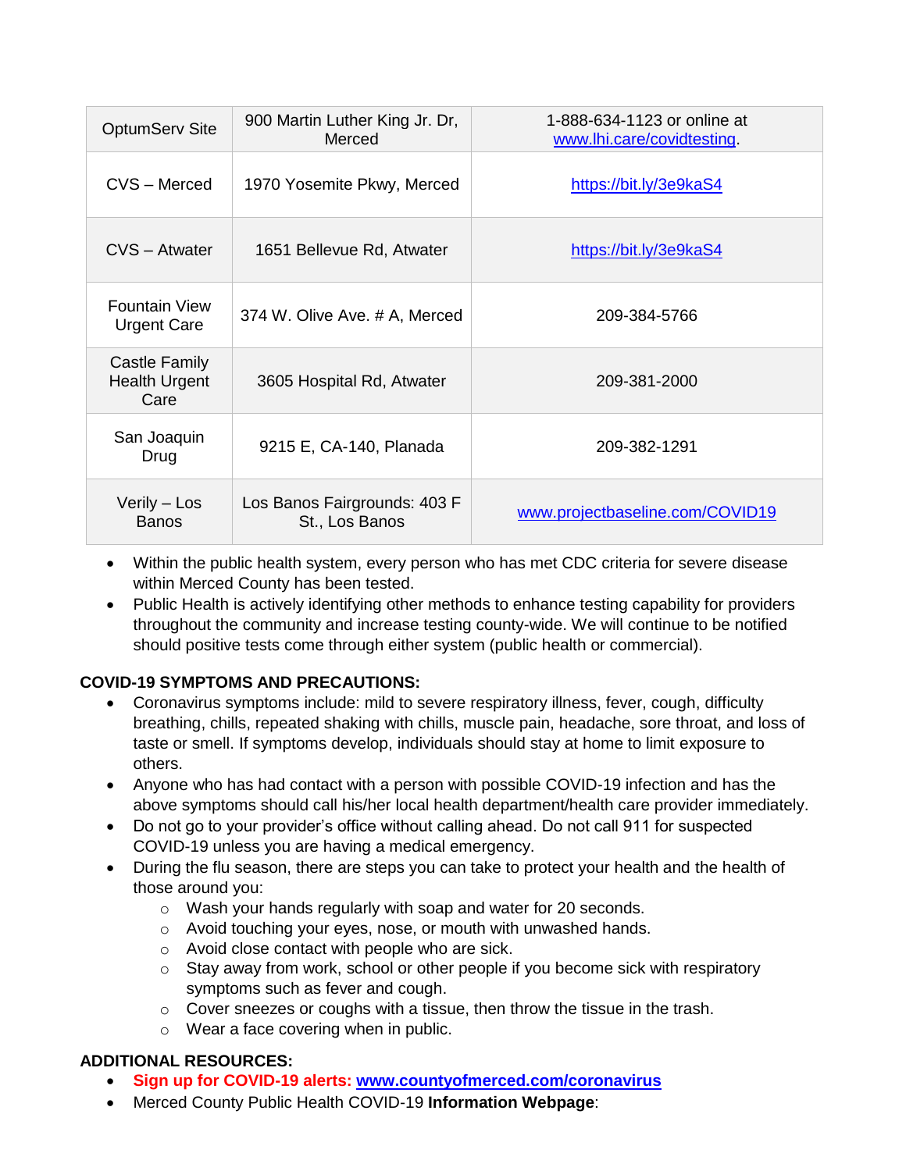| <b>OptumServ Site</b>                         | 900 Martin Luther King Jr. Dr,<br>Merced       | 1-888-634-1123 or online at<br>www.lhi.care/covidtesting. |
|-----------------------------------------------|------------------------------------------------|-----------------------------------------------------------|
| CVS - Merced                                  | 1970 Yosemite Pkwy, Merced                     | https://bit.ly/3e9kaS4                                    |
| CVS - Atwater                                 | 1651 Bellevue Rd, Atwater                      | https://bit.ly/3e9kaS4                                    |
| <b>Fountain View</b><br><b>Urgent Care</b>    | 374 W. Olive Ave. # A, Merced                  | 209-384-5766                                              |
| Castle Family<br><b>Health Urgent</b><br>Care | 3605 Hospital Rd, Atwater                      | 209-381-2000                                              |
| San Joaquin<br>Drug                           | 9215 E, CA-140, Planada                        | 209-382-1291                                              |
| Verily - Los<br><b>Banos</b>                  | Los Banos Fairgrounds: 403 F<br>St., Los Banos | www.projectbaseline.com/COVID19                           |

- Within the public health system, every person who has met CDC criteria for severe disease within Merced County has been tested.
- Public Health is actively identifying other methods to enhance testing capability for providers throughout the community and increase testing county-wide. We will continue to be notified should positive tests come through either system (public health or commercial).

### **COVID-19 SYMPTOMS AND PRECAUTIONS:**

- Coronavirus symptoms include: mild to severe respiratory illness, fever, cough, difficulty breathing, chills, repeated shaking with chills, muscle pain, headache, sore throat, and loss of taste or smell. If symptoms develop, individuals should stay at home to limit exposure to others.
- Anyone who has had contact with a person with possible COVID-19 infection and has the above symptoms should call his/her local health department/health care provider immediately.
- Do not go to your provider's office without calling ahead. Do not call 911 for suspected COVID-19 unless you are having a medical emergency.
- During the flu season, there are steps you can take to protect your health and the health of those around you:
	- o Wash your hands regularly with soap and water for 20 seconds.
	- o Avoid touching your eyes, nose, or mouth with unwashed hands.
	- o Avoid close contact with people who are sick.
	- $\circ$  Stay away from work, school or other people if you become sick with respiratory symptoms such as fever and cough.
	- o Cover sneezes or coughs with a tissue, then throw the tissue in the trash.
	- o Wear a face covering when in public.

# **ADDITIONAL RESOURCES:**

- **Sign up for COVID-19 alerts: [www.countyofmerced.com/coronavirus](http://www.countyofmerced.com/coronavirus)**
- Merced County Public Health COVID-19 **Information Webpage**: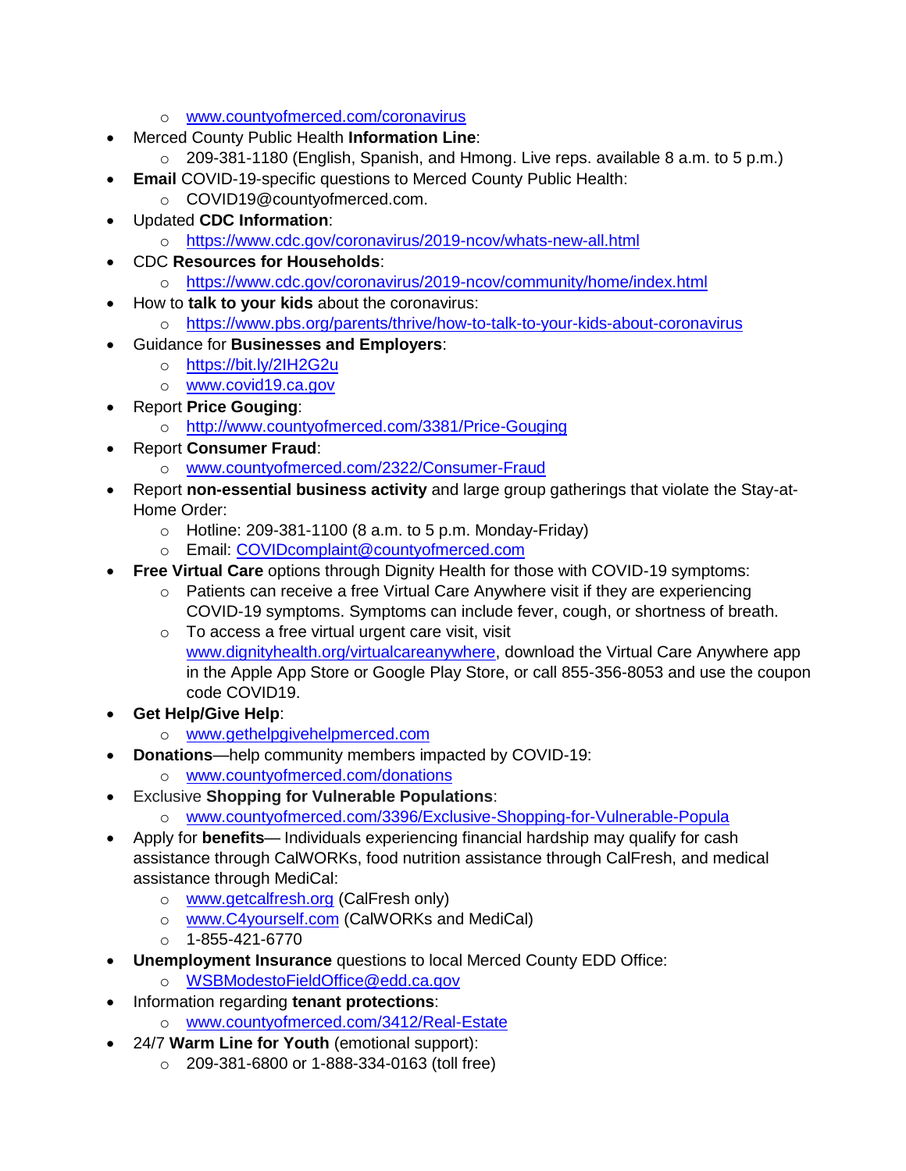- o [www.countyofmerced.com/coronavirus](http://www.countyofmerced.com/coronavirus)
- Merced County Public Health **Information Line**:
	- $\circ$  209-381-1180 (English, Spanish, and Hmong. Live reps. available 8 a.m. to 5 p.m.)
- **Email COVID-19-specific questions to Merced County Public Health:** 
	- o COVID19@countyofmerced.com.
- Updated **CDC Information**:
	- o <https://www.cdc.gov/coronavirus/2019-ncov/whats-new-all.html>
- CDC **Resources for Households**:
	- o <https://www.cdc.gov/coronavirus/2019-ncov/community/home/index.html>
- How to **talk to your kids** about the coronavirus:
	- o <https://www.pbs.org/parents/thrive/how-to-talk-to-your-kids-about-coronavirus>
- Guidance for **Businesses and Employers**:
	- o <https://bit.ly/2IH2G2u>
	- o [www.covid19.ca.gov](http://www.covid19.ca.gov/)
- Report **Price Gouging**:
	- o <http://www.countyofmerced.com/3381/Price-Gouging>
- Report **Consumer Fraud**:
	- o [www.countyofmerced.com/2322/Consumer-Fraud](http://www.countyofmerced.com/2322/Consumer-Fraud)
- Report **non-essential business activity** and large group gatherings that violate the Stay-at-Home Order:
	- $\circ$  Hotline: 209-381-1100 (8 a.m. to 5 p.m. Monday-Friday)
	- o Email: [COVIDcomplaint@countyofmerced.com](mailto:COVIDcomplaint@countyofmerced.com)
- **Free Virtual Care** options through Dignity Health for those with COVID-19 symptoms:
	- o Patients can receive a free Virtual Care Anywhere visit if they are experiencing COVID-19 symptoms. Symptoms can include fever, cough, or shortness of breath.
	- o To access a free virtual urgent care visit, visit [www.dignityhealth.org/virtualcareanywhere,](http://www.dignityhealth.org/virtualcareanywhere) download the Virtual Care Anywhere app in the Apple App Store or Google Play Store, or call 855-356-8053 and use the coupon code COVID19.
- **Get Help/Give Help**:
	- o [www.gethelpgivehelpmerced.com](http://www.gethelpgivehelpmerced.com/)
- **Donations**—help community members impacted by COVID-19:
	- o [www.countyofmerced.com/donations](http://www.countyofmerced.com/donations)
- Exclusive **Shopping for Vulnerable Populations**:
	- o [www.countyofmerced.com/3396/Exclusive-Shopping-for-Vulnerable-Popula](http://www.countyofmerced.com/3396/Exclusive-Shopping-for-Vulnerable-Popula)
- Apply for **benefits** Individuals experiencing financial hardship may qualify for cash assistance through CalWORKs, food nutrition assistance through CalFresh, and medical assistance through MediCal:
	- o [www.getcalfresh.org](http://www.getcalfresh.org/) (CalFresh only)
	- o [www.C4yourself.com](http://www.c4yourself.com/) (CalWORKs and MediCal)
	- $O$  1-855-421-6770
- **Unemployment Insurance** questions to local Merced County EDD Office:
	- o [WSBModestoFieldOffice@edd.ca.gov](mailto:WSBModestoFieldOffice@edd.ca.gov)
- Information regarding **tenant protections**:
	- o [www.countyofmerced.com/3412/Real-Estate](http://www.countyofmerced.com/3412/Real-Estate)
- 24/7 **Warm Line for Youth** (emotional support):
	- o 209-381-6800 or 1-888-334-0163 (toll free)